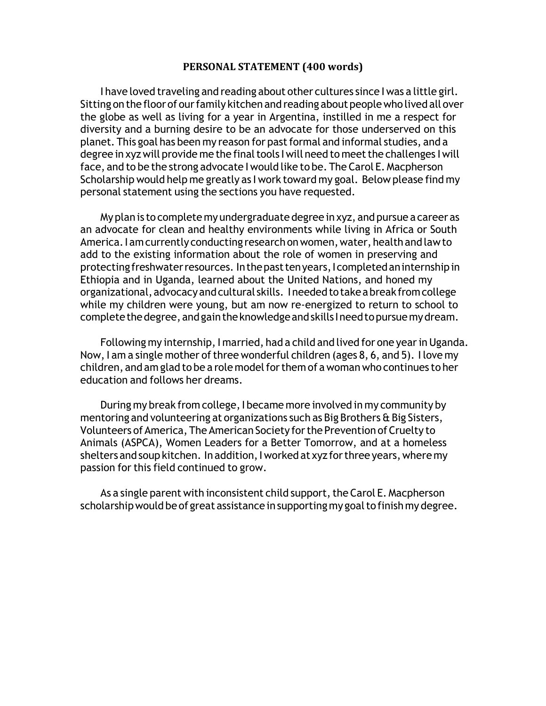## **PERSONAL STATEMENT (400 words)**

I have loved traveling and reading about other cultures since I was a little girl. Sitting on the floor of our family kitchen and reading about people who lived all over the globe as well as living for a year in Argentina, instilled in me a respect for diversity and a burning desire to be an advocate for those underserved on this planet. This goal has been my reason for past formal and informal studies, and a degree in xyz will provide me the final tools I will need to meet the challenges I will face, and to be the strong advocate I would like to be. The Carol E. Macpherson Scholarship would help me greatly as I work toward my goal. Below please find my personal statement using the sections you have requested.

Myplan is to complete my undergraduate degree in xyz, and pursue a career as an advocate for clean and healthy environments while living in Africa or South America. I am currently conducting research on women, water, health and law to add to the existing information about the role of women in preserving and protectingfreshwaterresources. Inthepasttenyears,Icompletedaninternshipin Ethiopia and in Uganda, learned about the United Nations, and honed my organizational, advocacy and cultural skills. Ineeded to take a break from college while my children were young, but am now re-energized to return to school to complete the degree, and gain the knowledge and skills I need to pursue my dream.

Following my internship, I married, had a child and lived for one year in Uganda. Now, I am a single mother of three wonderful children (ages 8, 6, and 5). I love my children, and am glad to be a role model for them of a woman who continues to her education and follows her dreams.

During my break from college,I became more involved in my community by mentoring and volunteering at organizations such as Big Brothers & Big Sisters, Volunteers of America, The American Society for the Prevention of Cruelty to Animals (ASPCA), Women Leaders for a Better Tomorrow, and at a homeless shelters and soup kitchen. In addition, I worked at xyz for three years, where my passion for this field continued to grow.

As a single parent with inconsistent child support, the Carol E. Macpherson scholarship would be of great assistance in supporting my goal to finish my degree.